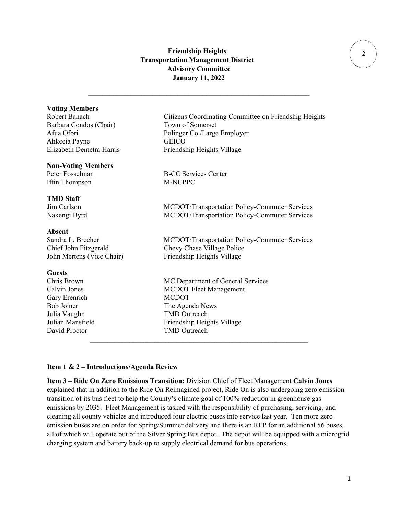# **Friendship Heights Transportation Management District Advisory Committee January 11, 2022**

 $\mathcal{L}_\text{max}$  , and the set of the set of the set of the set of the set of the set of the set of the set of the set of

### **Voting Members**

Barbara Condos (Chair) Town of Somerset Ahkeeia Payne GEICO Elizabeth Demetra Harris Friendship Heights Village

### **Non-Voting Members**

Iftin Thompson M-NCPPC

### **TMD Staff**

Absent<br>Sandra L. Brecher

**Guests** Gary Erenrich MCDOT Julia Vaughn TMD Outreach David Proctor TMD Outreach

Robert Banach Citizens Coordinating Committee on Friendship Heights Afua Ofori Polinger Co./Large Employer

Peter Fosselman B-CC Services Center

Jim Carlson MCDOT/Transportation Policy-Commuter Services Nakengi Byrd MCDOT/Transportation Policy-Commuter Services

MCDOT/Transportation Policy-Commuter Services Chief John Fitzgerald Chevy Chase Village Police John Mertens (Vice Chair) Friendship Heights Village

MC Department of General Services Calvin Jones MCDOT Fleet Management Bob Joiner The Agenda News Julian Mansfield Friendship Heights Village

### **Item 1 & 2 – Introductions/Agenda Review**

**Item 3 – Ride On Zero Emissions Transition:** Division Chief of Fleet Management **Calvin Jones** explained that in addition to the Ride On Reimagined project, Ride On is also undergoing zero emission transition of its bus fleet to help the County's climate goal of 100% reduction in greenhouse gas emissions by 2035. Fleet Management is tasked with the responsibility of purchasing, servicing, and cleaning all county vehicles and introduced four electric buses into service last year. Ten more zero emission buses are on order for Spring/Summer delivery and there is an RFP for an additional 56 buses, all of which will operate out of the Silver Spring Bus depot. The depot will be equipped with a microgrid charging system and battery back-up to supply electrical demand for bus operations.

 $\mathcal{L}_\text{max}$  , and the contract of the contract of the contract of the contract of the contract of the contract of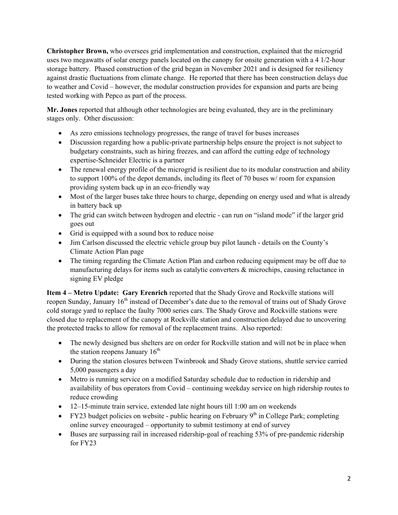**Christopher Brown,** who oversees grid implementation and construction, explained that the microgrid uses two megawatts of solar energy panels located on the canopy for onsite generation with a 4 1/2-hour storage battery. Phased construction of the grid began in November 2021 and is designed for resiliency against drastic fluctuations from climate change. He reported that there has been construction delays due to weather and Covid – however, the modular construction provides for expansion and parts are being tested working with Pepco as part of the process.

**Mr. Jones** reported that although other technologies are being evaluated, they are in the preliminary stages only. Other discussion:

- As zero emissions technology progresses, the range of travel for buses increases
- Discussion regarding how a public-private partnership helps ensure the project is not subject to budgetary constraints, such as hiring freezes, and can afford the cutting edge of technology expertise-Schneider Electric is a partner
- The renewal energy profile of the microgrid is resilient due to its modular construction and ability to support 100% of the depot demands, including its fleet of 70 buses w/ room for expansion providing system back up in an eco-friendly way
- Most of the larger buses take three hours to charge, depending on energy used and what is already in battery back up
- The grid can switch between hydrogen and electric can run on "island mode" if the larger grid goes out
- Grid is equipped with a sound box to reduce noise
- Jim Carlson discussed the electric vehicle group buy pilot launch details on the County's Climate Action Plan page
- The timing regarding the Climate Action Plan and carbon reducing equipment may be off due to manufacturing delays for items such as catalytic converters & microchips, causing reluctance in signing EV pledge

**Item 4 – Metro Update: Gary Erenrich** reported that the Shady Grove and Rockville stations will reopen Sunday, January 16<sup>th</sup> instead of December's date due to the removal of trains out of Shady Grove cold storage yard to replace the faulty 7000 series cars. The Shady Grove and Rockville stations were closed due to replacement of the canopy at Rockville station and construction delayed due to uncovering the protected tracks to allow for removal of the replacement trains. Also reported:

- The newly designed bus shelters are on order for Rockville station and will not be in place when the station reopens January  $16<sup>th</sup>$
- During the station closures between Twinbrook and Shady Grove stations, shuttle service carried 5,000 passengers a day
- Metro is running service on a modified Saturday schedule due to reduction in ridership and availability of bus operators from Covid – continuing weekday service on high ridership routes to reduce crowding
- 12–15-minute train service, extended late night hours till 1:00 am on weekends
- FY23 budget policies on website public hearing on February  $9<sup>th</sup>$  in College Park; completing online survey encouraged – opportunity to submit testimony at end of survey
- Buses are surpassing rail in increased ridership-goal of reaching 53% of pre-pandemic ridership for FY23